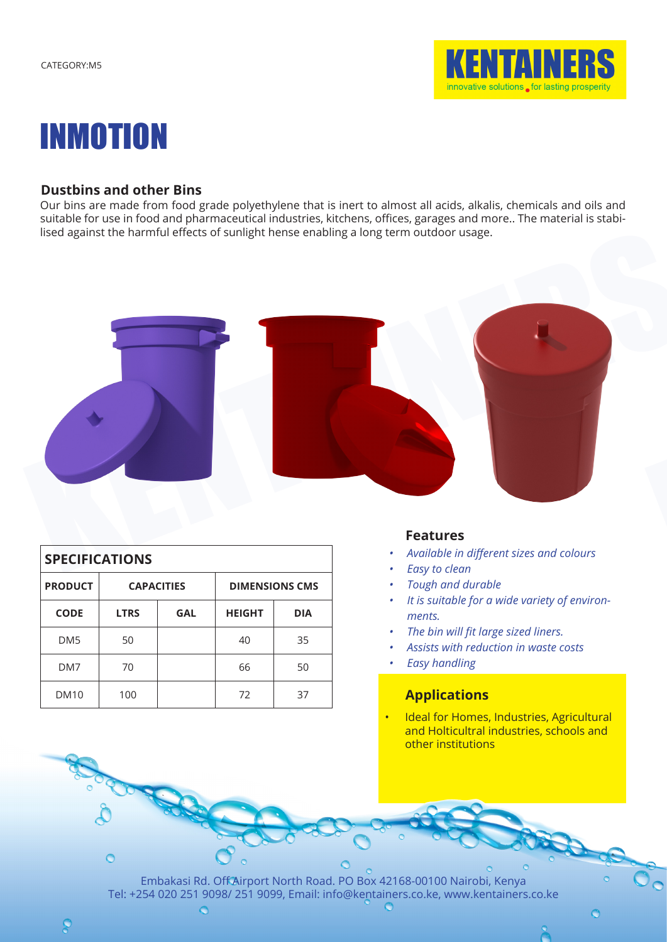



# **Dustbins and other Bins**

Our bins are made from food grade polyethylene that is inert to almost all acids, alkalis, chemicals and oils and suitable for use in food and pharmaceutical industries, kitchens, offices, garages and more.. The material is stabilised against the harmful effects of sunlight hense enabling a long term outdoor usage.



| <b>SPECIFICATIONS</b> |             |                   |               |                       |  |  |
|-----------------------|-------------|-------------------|---------------|-----------------------|--|--|
| <b>PRODUCT</b>        |             | <b>CAPACITIES</b> |               | <b>DIMENSIONS CMS</b> |  |  |
| <b>CODE</b>           | <b>LTRS</b> | <b>GAL</b>        | <b>HEIGHT</b> | <b>DIA</b>            |  |  |
| DM <sub>5</sub>       | 50          |                   | 40            | 35                    |  |  |
| DM7                   | 70          |                   | 66            | 50                    |  |  |
| <b>DM10</b>           | 100         |                   | 72            | 37                    |  |  |

### **Features**

- *• Available in different sizes and colours*
- *• Easy to clean*
- *• Tough and durable*
- *• It is suitable for a wide variety of environments.*
- *• The bin will fit large sized liners.*
- *• Assists with reduction in waste costs*
- *• Easy handling*

# **Applications**

• Ideal for Homes, Industries, Agricultural and Holticultral industries, schools and other institutions

Embakasi Rd. Off Airport North Road. PO Box 42168-00100 Nairobi, Kenya Tel: +254 020 251 9098/ 251 9099, Email: info@kentainers.co.ke, www.kentainers.co.ke

 $\circ$